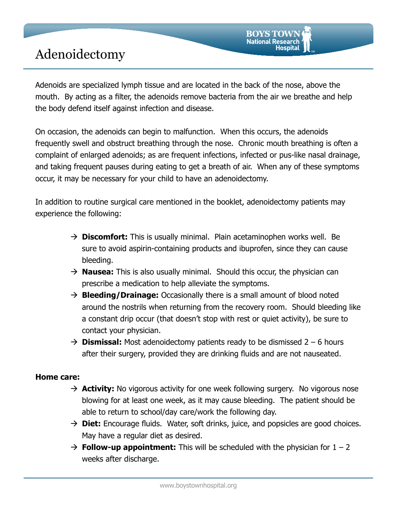## Adenoidectomy

Adenoids are specialized lymph tissue and are located in the back of the nose, above the mouth. By acting as a filter, the adenoids remove bacteria from the air we breathe and help the body defend itself against infection and disease.

**National Research** 

On occasion, the adenoids can begin to malfunction. When this occurs, the adenoids frequently swell and obstruct breathing through the nose. Chronic mouth breathing is often a complaint of enlarged adenoids; as are frequent infections, infected or pus-like nasal drainage, and taking frequent pauses during eating to get a breath of air. When any of these symptoms occur, it may be necessary for your child to have an adenoidectomy.

In addition to routine surgical care mentioned in the booklet, adenoidectomy patients may experience the following:

- $\rightarrow$  **Discomfort:** This is usually minimal. Plain acetaminophen works well. Be sure to avoid aspirin-containing products and ibuprofen, since they can cause bleeding.
- → **Nausea:** This is also usually minimal. Should this occur, the physician can prescribe a medication to help alleviate the symptoms.
- → **Bleeding/Drainage:** Occasionally there is a small amount of blood noted around the nostrils when returning from the recovery room. Should bleeding like a constant drip occur (that doesn't stop with rest or quiet activity), be sure to contact your physician.
- $\rightarrow$  **Dismissal:** Most adenoidectomy patients ready to be dismissed 2 6 hours after their surgery, provided they are drinking fluids and are not nauseated.

## **Home care:**

- → **Activity:** No vigorous activity for one week following surgery. No vigorous nose blowing for at least one week, as it may cause bleeding. The patient should be able to return to school/day care/work the following day.
- → **Diet:** Encourage fluids. Water, soft drinks, juice, and popsicles are good choices. May have a regular diet as desired.
- $\rightarrow$  Follow-up appointment: This will be scheduled with the physician for  $1 2$ weeks after discharge.